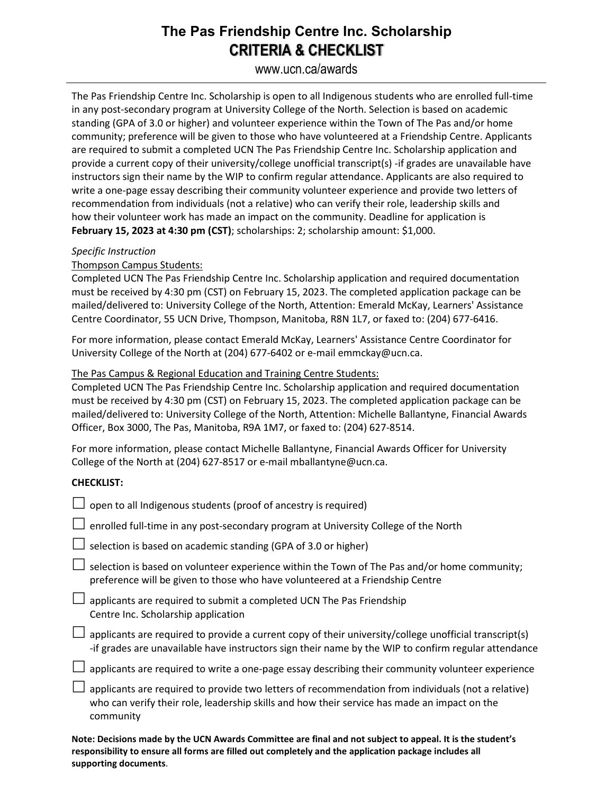## **The Pas Friendship Centre Inc. Scholarship CRITERIA & CHECKLIST**

www.ucn.ca/awards

The Pas Friendship Centre Inc. Scholarship is open to all Indigenous students who are enrolled full-time in any post-secondary program at University College of the North. Selection is based on academic standing (GPA of 3.0 or higher) and volunteer experience within the Town of The Pas and/or home community; preference will be given to those who have volunteered at a Friendship Centre. Applicants are required to submit a completed UCN The Pas Friendship Centre Inc. Scholarship application and provide a current copy of their university/college unofficial transcript(s) -if grades are unavailable have instructors sign their name by the WIP to confirm regular attendance. Applicants are also required to write a one-page essay describing their community volunteer experience and provide two letters of recommendation from individuals (not a relative) who can verify their role, leadership skills and how their volunteer work has made an impact on the community. Deadline for application is **February 15, 2023 at 4:30 pm (CST)**; scholarships: 2; scholarship amount: \$1,000.

#### *Specific Instruction*

### Thompson Campus Students:

Completed UCN The Pas Friendship Centre Inc. Scholarship application and required documentation must be received by 4:30 pm (CST) on February 15, 2023. The completed application package can be mailed/delivered to: University College of the North, Attention: Emerald McKay, Learners' Assistance Centre Coordinator, 55 UCN Drive, Thompson, Manitoba, R8N 1L7, or faxed to: (204) 677-6416.

For more information, please contact Emerald McKay, Learners' Assistance Centre Coordinator for University College of the North at (204) 677-6402 or e-mail emmckay@ucn.ca.

#### The Pas Campus & Regional Education and Training Centre Students:

Completed UCN The Pas Friendship Centre Inc. Scholarship application and required documentation must be received by 4:30 pm (CST) on February 15, 2023. The completed application package can be mailed/delivered to: University College of the North, Attention: Michelle Ballantyne, Financial Awards Officer, Box 3000, The Pas, Manitoba, R9A 1M7, or faxed to: (204) 627-8514.

For more information, please contact Michelle Ballantyne, Financial Awards Officer for University College of the North at (204) 627-8517 or e-mail mballantyne@ucn.ca.

#### **CHECKLIST:**

| $\Box$ open to all Indigenous students (proof of ancestry is required)                                                                                                                                          |
|-----------------------------------------------------------------------------------------------------------------------------------------------------------------------------------------------------------------|
| $\Box$ enrolled full-time in any post-secondary program at University College of the North                                                                                                                      |
| $\Box$ selection is based on academic standing (GPA of 3.0 or higher)                                                                                                                                           |
| selection is based on volunteer experience within the Town of The Pas and/or home community;<br>preference will be given to those who have volunteered at a Friendship Centre                                   |
| applicants are required to submit a completed UCN The Pas Friendship<br>Centre Inc. Scholarship application                                                                                                     |
| applicants are required to provide a current copy of their university/college unofficial transcript(s)<br>-if grades are unavailable have instructors sign their name by the WIP to confirm regular attendance  |
| applicants are required to write a one-page essay describing their community volunteer experience                                                                                                               |
| applicants are required to provide two letters of recommendation from individuals (not a relative)<br>who can verify their role, leadership skills and how their service has made an impact on the<br>community |
|                                                                                                                                                                                                                 |

**Note: Decisions made by the UCN Awards Committee are final and not subject to appeal. It is the student's responsibility to ensure all forms are filled out completely and the application package includes all supporting documents**.